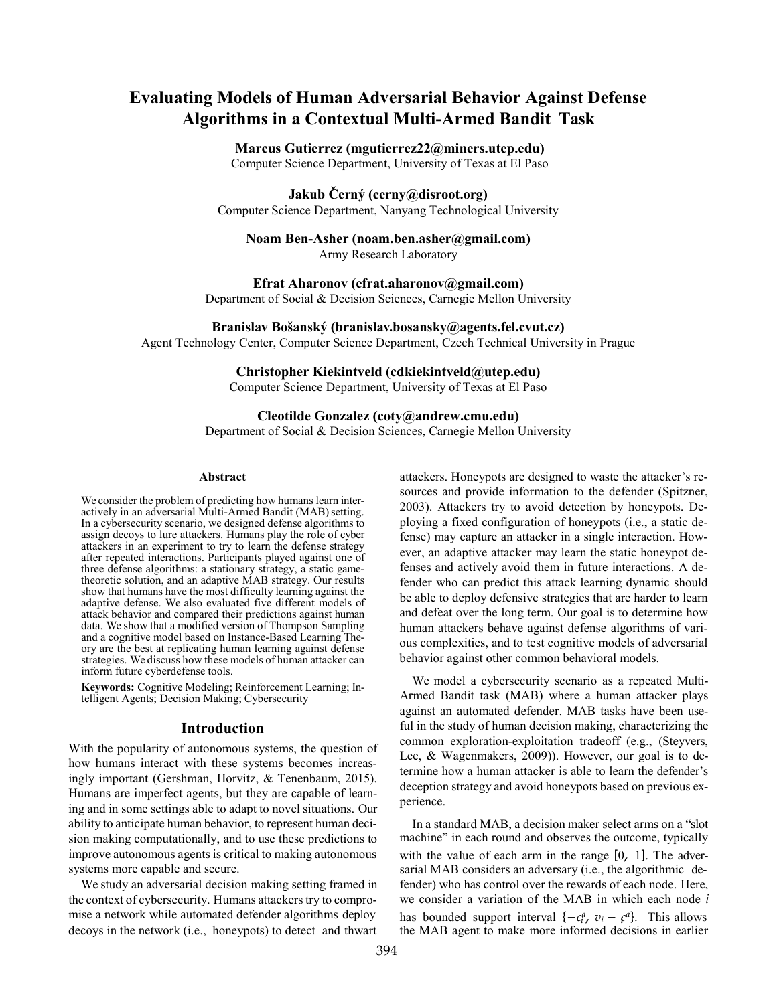## **Evaluating Models of Human Adversarial Behavior Against Defense Algorithms in a Contextual Multi-Armed Bandit Task**

#### **Marcus Gutierrez (mgutierrez22@miners.utep.edu)** Computer Science Department, University of Texas at El Paso

## **Jakub Cˇ erny´ (cerny@disroot.org)**

Computer Science Department, Nanyang Technological University

# **Noam Ben-Asher (noam.ben.asher@gmail.com)**

Army Research Laboratory

**Efrat Aharonov (efrat.aharonov@gmail.com)**

Department of Social & Decision Sciences, Carnegie Mellon University

**Branislav Bosˇansky´ (branislav.bosansky@agents.fel.cvut.cz)**

Agent Technology Center, Computer Science Department, Czech Technical University in Prague

### **Christopher Kiekintveld (cdkiekintveld@utep.edu)**

Computer Science Department, University of Texas at El Paso

#### **Cleotilde Gonzalez (coty@andrew.cmu.edu)**

Department of Social & Decision Sciences, Carnegie Mellon University

#### **Abstract**

We consider the problem of predicting how humans learn interactively in an adversarial Multi-Armed Bandit (MAB) setting. In a cybersecurity scenario, we designed defense algorithms to assign decoys to lure attackers. Humans play the role of cyber attackers in an experiment to try to learn the defense strategy after repeated interactions. Participants played against one of three defense algorithms: a stationary strategy, a static gametheoretic solution, and an adaptive MAB strategy. Our results show that humans have the most difficulty learning against the adaptive defense. We also evaluated five different models of attack behavior and compared their predictions against human data. We show that a modified version of Thompson Sampling<br>and a cognitive model based on Instance-Based Learning Theory are the best at replicating human learning against defense strategies. We discuss how these models of human attacker can inform future cyberdefense tools.

**Keywords:** Cognitive Modeling; Reinforcement Learning; Intelligent Agents; Decision Making; Cybersecurity

#### **Introduction**

With the popularity of autonomous systems, the question of how humans interact with these systems becomes increasingly important (Gershman, Horvitz, & Tenenbaum, 2015). Humans are imperfect agents, but they are capable of learning and in some settings able to adapt to novel situations. Our ability to anticipate human behavior, to represent human decision making computationally, and to use these predictions to improve autonomous agents is critical to making autonomous systems more capable and secure.

We study an adversarial decision making setting framed in the context of cybersecurity. Humans attackers try to compromise a network while automated defender algorithms deploy decoys in the network (i.e., honeypots) to detect and thwart the MAB agent to make more informed decisions in earlier

attackers. Honeypots are designed to waste the attacker's resources and provide information to the defender (Spitzner, 2003). Attackers try to avoid detection by honeypots. Deploying a fixed configuration of honeypots (i.e., a static defense) may capture an attacker in a single interaction. However, an adaptive attacker may learn the static honeypot defenses and actively avoid them in future interactions. A defender who can predict this attack learning dynamic should be able to deploy defensive strategies that are harder to learn and defeat over the long term. Our goal is to determine how human attackers behave against defense algorithms of various complexities, and to test cognitive models of adversarial behavior against other common behavioral models.

We model a cybersecurity scenario as a repeated Multi-Armed Bandit task (MAB) where a human attacker plays against an automated defender. MAB tasks have been useful in the study of human decision making, characterizing the common exploration-exploitation tradeoff (e.g., (Steyvers, Lee, & Wagenmakers, 2009)). However, our goal is to determine how a human attacker is able to learn the defender's deception strategy and avoid honeypots based on previous experience.

has bounded support interval  $\{-c_i^a, v_i - c^a\}$ . This allows In a standard MAB, a decision maker select arms on a "slot machine" in each round and observes the outcome, typically with the value of each arm in the range [0*,* 1]. The adversarial MAB considers an adversary (i.e., the algorithmic defender) who has control over the rewards of each node. Here, we consider a variation of the MAB in which each node *i*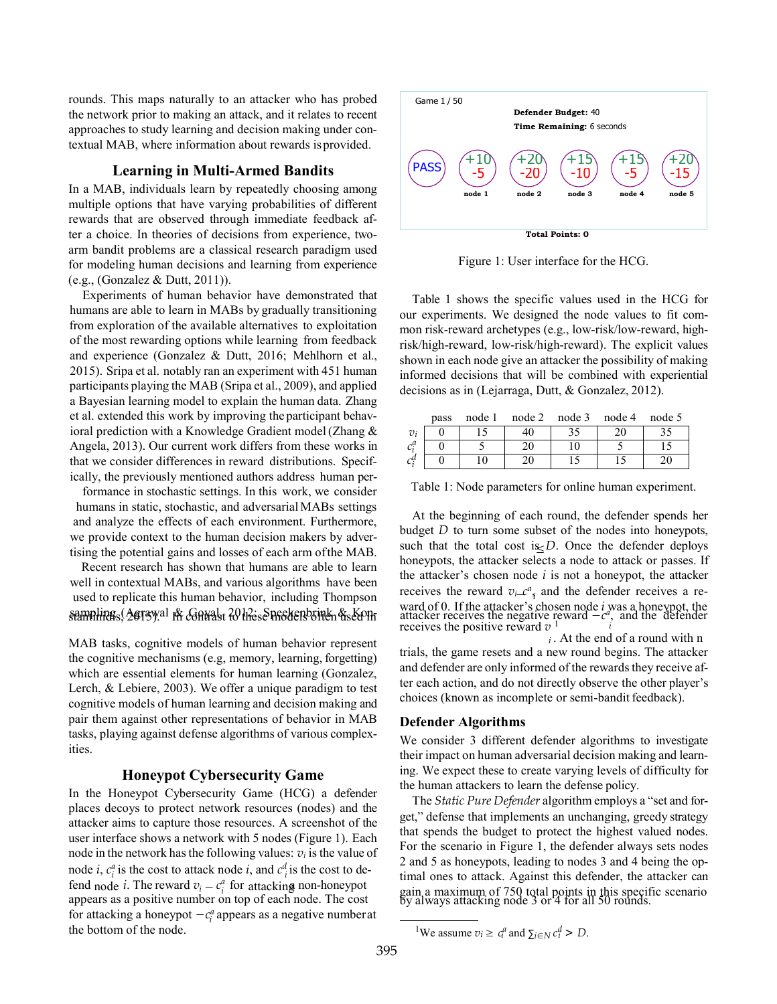rounds. This maps naturally to an attacker who has probed the network prior to making an attack, and it relates to recent approaches to study learning and decision making under contextual MAB, where information about rewards isprovided.

#### **Learning in Multi-Armed Bandits**

In a MAB, individuals learn by repeatedly choosing among multiple options that have varying probabilities of different rewards that are observed through immediate feedback after a choice. In theories of decisions from experience, twoarm bandit problems are a classical research paradigm used for modeling human decisions and learning from experience (e.g., (Gonzalez & Dutt, 2011)).

Experiments of human behavior have demonstrated that humans are able to learn in MABs by gradually transitioning from exploration of the available alternatives to exploitation of the most rewarding options while learning from feedback and experience (Gonzalez & Dutt, 2016; Mehlhorn et al., 2015). Sripa et al. notably ran an experiment with 451 human participants playing the MAB (Sripa et al., 2009), and applied a Bayesian learning model to explain the human data. Zhang et al. extended this work by improving the participant behavioral prediction with a Knowledge Gradient model(Zhang & Angela, 2013). Our current work differs from these works in that we consider differences in reward distributions. Specifically, the previously mentioned authors address human per-

formance in stochastic settings. In this work, we consider humans in static, stochastic, and adversarial MABs settings and analyze the effects of each environment. Furthermore, we provide context to the human decision makers by advertising the potential gains and losses of each arm ofthe MAB.

Recent research has shown that humans are able to learn well in contextual MABs, and various algorithms have been used to replicate this human behavior, including Thompson sampling (Agrawal & Goyal, 2012; Speekenbrink & Kon-

MAB tasks, cognitive models of human behavior represent the cognitive mechanisms (e.g, memory, learning, forgetting) which are essential elements for human learning (Gonzalez, Lerch, & Lebiere, 2003). We offer a unique paradigm to test cognitive models of human learning and decision making and pair them against other representations of behavior in MAB tasks, playing against defense algorithms of various complexities.

#### **Honeypot Cybersecurity Game**

fend node *i*. The reward  $v_i - c_i^a$  for attacking non-honeypot for attacking a honeypot  $-c_i^a$  appears as a negative numberat *i i* the bottom of the node. 1We assume *vi* ≥ *ca* and ∑*i*∈*N c<sup>d</sup>> D*. node *i*,  $c_i^a$  is the cost to attack node *i*, and  $c_i^d$  is the cost to de-In the Honeypot Cybersecurity Game (HCG) a defender places decoys to protect network resources (nodes) and the attacker aims to capture those resources. A screenshot of the user interface shows a network with 5 nodes (Figure 1). Each node in the network has the following values:  $v_i$  is the value of appears as a positive number on top of each node. The cost



Figure 1: User interface for the HCG.

Table 1 shows the specific values used in the HCG for our experiments. We designed the node values to fit common risk-reward archetypes (e.g., low-risk/low-reward, highrisk/high-reward, low-risk/high-reward). The explicit values shown in each node give an attacker the possibility of making informed decisions that will be combined with experiential decisions as in (Lejarraga, Dutt, & Gonzalez, 2012).

|         | pass | node 1 | node 2 node 3 | node 4 | node 5 |
|---------|------|--------|---------------|--------|--------|
| $v_i$   |      |        |               |        |        |
| $c_i^a$ |      |        |               |        |        |
| C       |      |        |               |        |        |

Table 1: Node parameters for online human experiment.

such that the total cost is *D*. Once the defender deploys receives the reward  $v_i \mathcal{L}^a$  and the defender receives a re-At the beginning of each round, the defender spends her budget *D* to turn some subset of the nodes into honeypots, honeypots, the attacker selects a node to attack or passes. If the attacker's chosen node *i* is not a honeypot, the attacker ward of 0. If the attacker's chosen node *i* was a honeypot, the attacker receives the negative reward  $-\frac{c^n}{i}$ , and the defender receives the positive reward  $v^1$ 

*<sup>i</sup>*. At the end of a round with n trials, the game resets and a new round begins. The attacker and defender are only informed of the rewards they receive after each action, and do not directly observe the other player's choices (known as incomplete or semi-bandit feedback).

#### **Defender Algorithms**

We consider 3 different defender algorithms to investigate their impact on human adversarial decision making and learning. We expect these to create varying levels of difficulty for the human attackers to learn the defense policy.

The *Static Pure Defender* algorithm employs a "set and forget," defense that implements an unchanging, greedy strategy that spends the budget to protect the highest valued nodes. For the scenario in Figure 1, the defender always sets nodes 2 and 5 as honeypots, leading to nodes 3 and 4 being the optimal ones to attack. Against this defender, the attacker can gain a maximum of 750 total points in this specific scenario by always attacking node 3 or 4 for all 50 rounds.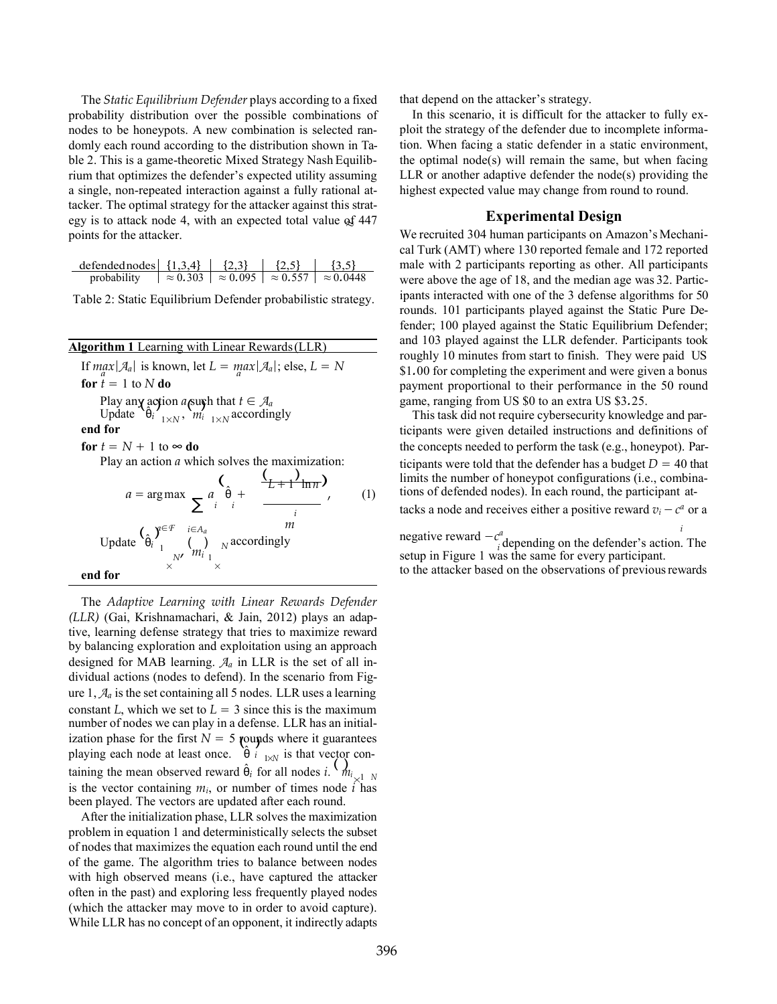≈ egy is to attack node 4, with an expected total value of 447 The *Static Equilibrium Defender* plays according to a fixed probability distribution over the possible combinations of nodes to be honeypots. A new combination is selected randomly each round according to the distribution shown in Table 2. This is a game-theoretic Mixed Strategy Nash Equilibrium that optimizes the defender's expected utility assuming a single, non-repeated interaction against a fully rational attacker. The optimal strategy for the attacker against this stratpoints for the attacker.

| defended nodes $\{1,3,4\}$ | ${2,3}$ | ${2,5}$ | $\{3,5\}$                                                              |
|----------------------------|---------|---------|------------------------------------------------------------------------|
| probability                |         |         | $\approx 0.303$   $\approx 0.095$   $\approx 0.557$   $\approx 0.0448$ |

Table 2: Static Equilibrium Defender probabilistic strategy.

| <b>Algorithm 1</b> Learning with Linear Rewards (LLR) |  |  |  |  |
|-------------------------------------------------------|--|--|--|--|
|                                                       |  |  |  |  |

Play any action *a* surph that  $t \in A_a$ <br>Update  $\hat{\theta}_i \Big|_{1 \times N}$ ,  $m_i \Big|_{1 \times N}$  accordir  $a = \arg \max \sum_{i} a_i \frac{\hat{\theta}}{i}$ If  $\max_{a} |\mathcal{A}_a|$  is known, let  $L = \max_{a} |\mathcal{A}_a|$ ; else,  $L = N$ **for**  $\hat{t} = 1$  to  $N$  **do for**  $t = N + 1$  to  $\infty$  **do** Play an action *a* which solves the maximization: (  $\hat{\theta}$  +  $\left(\frac{1}{L+1} \ln \pi\right)$ *,* (1) Update  $\begin{pmatrix} \hat{\theta}_i & \hat{\theta}_i \\ \hat{\theta}_i & \hat{\theta}_i \end{pmatrix}$  *m m i*<br>  $\begin{pmatrix} \hat{\theta}_i & \hat{\theta}_i \\ \hat{\theta}_i & \hat{\theta}_i \end{pmatrix}$  *n* accordingly *m* according *m i i d*epending on the defender's action. 1  $\binom{m_i}{m_i}$ **end for**  $\begin{array}{ccc} & & N' & m_1 \\ & \times & & \times \\ & & \times & & \end{array}$ Update  $\left[\mathbf{\theta}_{i}\right]_{1\times N}$ ,  $m'_{i}$   $_{1\times N}$  accordingly **end for**

ization phase for the first  $N = 5$  rounds where it guarantees  $\frac{i}{k}$  1x<sup>*N*</sup> 1s that vector is the vector containing  $m_i$ , or number of times node  $\vec{i}$  has The *Adaptive Learning with Linear Rewards Defender (LLR)* (Gai, Krishnamachari, & Jain, 2012) plays an adaptive, learning defense strategy that tries to maximize reward by balancing exploration and exploitation using an approach designed for MAB learning. *A<sup>a</sup>* in LLR is the set of all individual actions (nodes to defend). In the scenario from Figure 1,  $A_a$  is the set containing all 5 nodes. LLR uses a learning constant *L*, which we set to  $L = 3$  since this is the maximum number of nodes we can play in a defense. LLR has an initialplaying each node at least once.  $\theta$  i  $_{1\times N}$  is that vector containing the mean observed reward  $\hat{\theta}_i$  for all nodes *i*.  $M_{i_{\times 1} N}$ been played. The vectors are updated after each round.

After the initialization phase, LLR solves the maximization problem in equation 1 and deterministically selects the subset of nodes that maximizes the equation each round until the end of the game. The algorithm tries to balance between nodes with high observed means (i.e., have captured the attacker often in the past) and exploring less frequently played nodes (which the attacker may move to in order to avoid capture). While LLR has no concept of an opponent, it indirectly adapts that depend on the attacker's strategy.

In this scenario, it is difficult for the attacker to fully exploit the strategy of the defender due to incomplete information. When facing a static defender in a static environment, the optimal node(s) will remain the same, but when facing LLR or another adaptive defender the node(s) providing the highest expected value may change from round to round.

#### **Experimental Design**

We recruited 304 human participants on Amazon's Mechanical Turk (AMT) where 130 reported female and 172 reported male with 2 participants reporting as other. All participants were above the age of 18, and the median age was 32. Participants interacted with one of the 3 defense algorithms for 50 rounds. 101 participants played against the Static Pure Defender; 100 played against the Static Equilibrium Defender; and 103 played against the LLR defender. Participants took roughly 10 minutes from start to finish. They were paid US \$1*.*00 for completing the experiment and were given a bonus payment proportional to their performance in the 50 round game, ranging from US \$0 to an extra US \$3*.*25.

the concepts needed to perform the task (e.g., honeypot). Participants were told that the defender has a budget  $D = 40$  that limits the number of honeypot configurations (i.e., combinations of defended nodes). In each round, the participant attacks a node and receives either a positive reward  $v_i - c^a$  or a This task did not require cybersecurity knowledge and participants were given detailed instructions and definitions of

 $\lim_{N \to \infty} \text{accordingly}$  **i**  $\lim_{n \to \infty} \text{negating on the defender's action.}$ setup in Figure 1 was the same for every participant. to the attacker based on the observations of previous rewards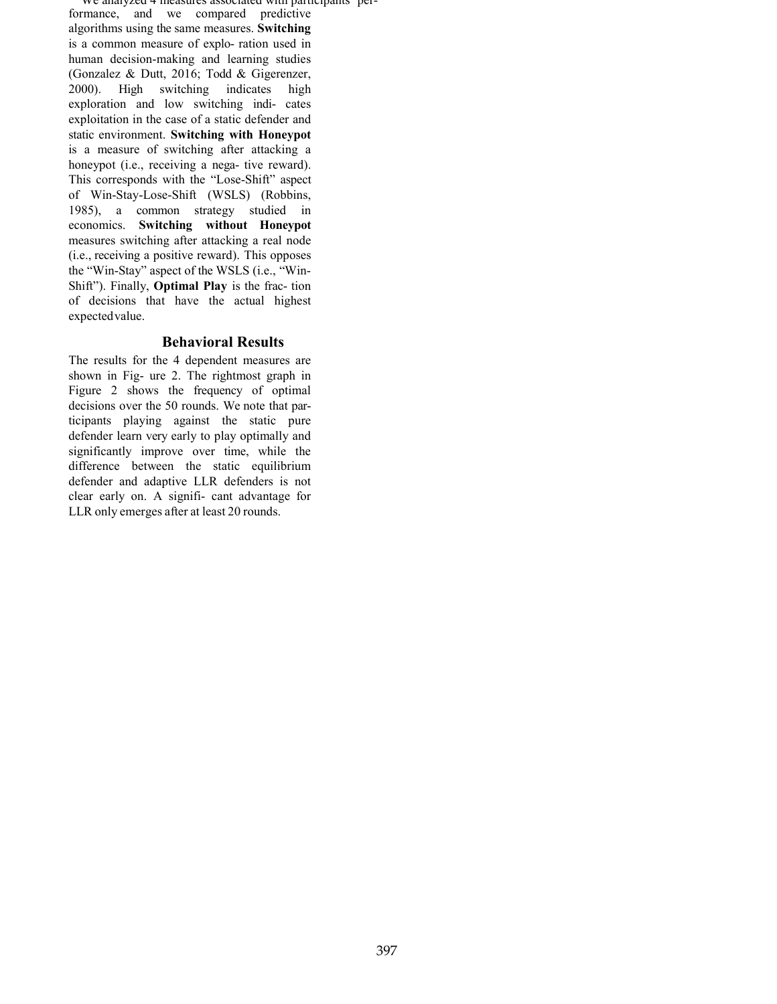We analyzed 4 measures associated with participants performance, and we compared predictive algorithms using the same measures. **Switching**  is a common measure of explo- ration used in human decision-making and learning studies (Gonzalez & Dutt, 2016; Todd & Gigerenzer, 2000). High switching indicates high exploration and low switching indi- cates exploitation in the case of a static defender and static environment. **Switching with Honeypot**  is a measure of switching after attacking a honeypot (i.e., receiving a nega- tive reward). This corresponds with the "Lose-Shift" aspect of Win-Stay-Lose-Shift (WSLS) (Robbins, 1985), a common strategy studied in economics. **Switching without Honeypot**  measures switching after attacking a real node (i.e., receiving a positive reward). This opposes the "Win-Stay" aspect of the WSLS (i.e., "Win-Shift"). Finally, **Optimal Play** is the frac- tion of decisions that have the actual highest expectedvalue.

#### **Behavioral Results**

The results for the 4 dependent measures are shown in Fig- ure 2. The rightmost graph in Figure 2 shows the frequency of optimal decisions over the 50 rounds. We note that participants playing against the static pure defender learn very early to play optimally and significantly improve over time, while the difference between the static equilibrium defender and adaptive LLR defenders is not clear early on. A signifi- cant advantage for LLR only emerges after at least 20 rounds.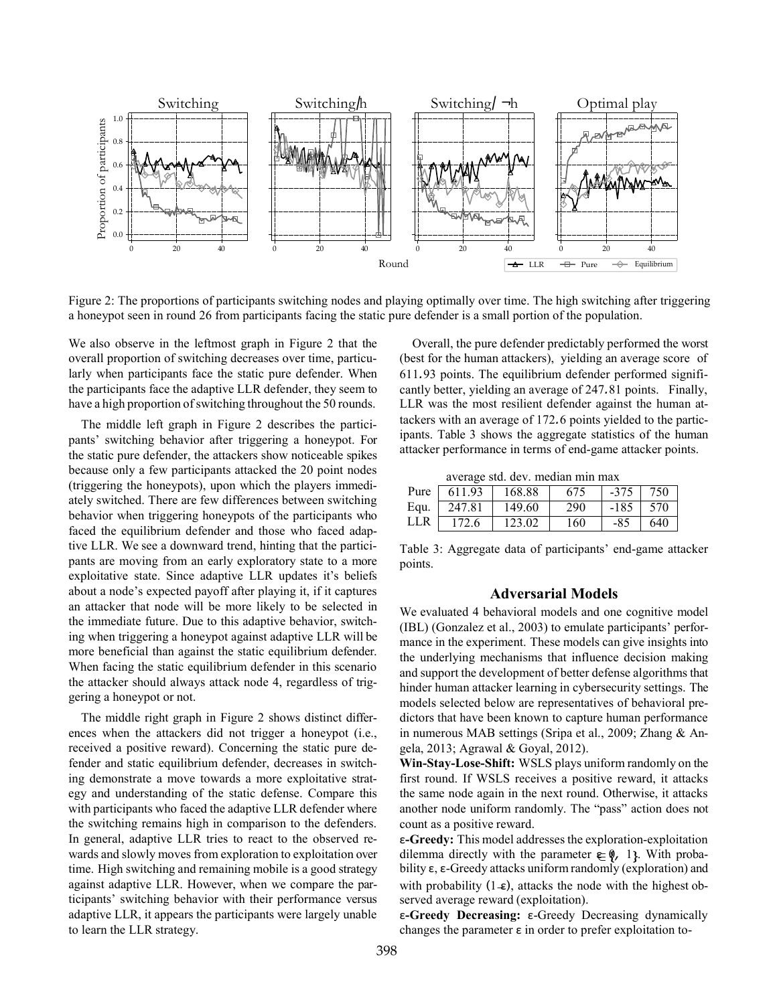

Figure 2: The proportions of participants switching nodes and playing optimally over time. The high switching after triggering a honeypot seen in round 26 from participants facing the static pure defender is a small portion of the population.

We also observe in the leftmost graph in Figure 2 that the overall proportion of switching decreases over time, particularly when participants face the static pure defender. When the participants face the adaptive LLR defender, they seem to have a high proportion of switching throughout the 50 rounds.

The middle left graph in Figure 2 describes the participants' switching behavior after triggering a honeypot. For the static pure defender, the attackers show noticeable spikes because only a few participants attacked the 20 point nodes (triggering the honeypots), upon which the players immediately switched. There are few differences between switching behavior when triggering honeypots of the participants who faced the equilibrium defender and those who faced adaptive LLR. We see a downward trend, hinting that the participants are moving from an early exploratory state to a more exploitative state. Since adaptive LLR updates it's beliefs about a node's expected payoff after playing it, if it captures an attacker that node will be more likely to be selected in the immediate future. Due to this adaptive behavior, switching when triggering a honeypot against adaptive LLR will be more beneficial than against the static equilibrium defender. When facing the static equilibrium defender in this scenario the attacker should always attack node 4, regardless of triggering a honeypot or not.

The middle right graph in Figure 2 shows distinct differences when the attackers did not trigger a honeypot (i.e., received a positive reward). Concerning the static pure defender and static equilibrium defender, decreases in switching demonstrate a move towards a more exploitative strategy and understanding of the static defense. Compare this with participants who faced the adaptive LLR defender where the switching remains high in comparison to the defenders. In general, adaptive LLR tries to react to the observed rewards and slowly moves from exploration to exploitation over time. High switching and remaining mobile is a good strategy against adaptive LLR. However, when we compare the participants' switching behavior with their performance versus adaptive LLR, it appears the participants were largely unable to learn the LLR strategy.

Overall, the pure defender predictably performed the worst (best for the human attackers), yielding an average score of 611*.*93 points. The equilibrium defender performed significantly better, yielding an average of 247*.*81 points. Finally, LLR was the most resilient defender against the human attackers with an average of 172*.*6 points yielded to the participants. Table 3 shows the aggregate statistics of the human attacker performance in terms of end-game attacker points.

average std. dev. median min max

| Pure | 611.93 | 168.88 | 675 | $-375$ | 750 |
|------|--------|--------|-----|--------|-----|
| Equ. | 247.81 | 149.60 | 290 | $-185$ | 570 |
| LLR  | 172.6  | 123.02 | 160 | -85    | 640 |

Table 3: Aggregate data of participants' end-game attacker points.

#### **Adversarial Models**

We evaluated 4 behavioral models and one cognitive model (IBL) (Gonzalez et al., 2003) to emulate participants' performance in the experiment. These models can give insights into the underlying mechanisms that influence decision making and support the development of better defense algorithms that hinder human attacker learning in cybersecurity settings. The models selected below are representatives of behavioral predictors that have been known to capture human performance in numerous MAB settings (Sripa et al., 2009; Zhang & Angela, 2013; Agrawal & Goyal, 2012).

**Win-Stay-Lose-Shift:** WSLS plays uniform randomly on the first round. If WSLS receives a positive reward, it attacks the same node again in the next round. Otherwise, it attacks another node uniform randomly. The "pass" action does not count as a positive reward.

with probability (1 $\text{\ensuremath{\in}}$ ), attacks the node with the highest obdilemma directly with the parameter  $\in \{0, 1\}$ . With probaε**-Greedy:** This model addressesthe exploration-exploitation bility ε, ε-Greedy attacks uniform randomly (exploration) and served average reward (exploitation).

ε**-Greedy Decreasing:** ε-Greedy Decreasing dynamically changes the parameter ε in order to prefer exploitation to-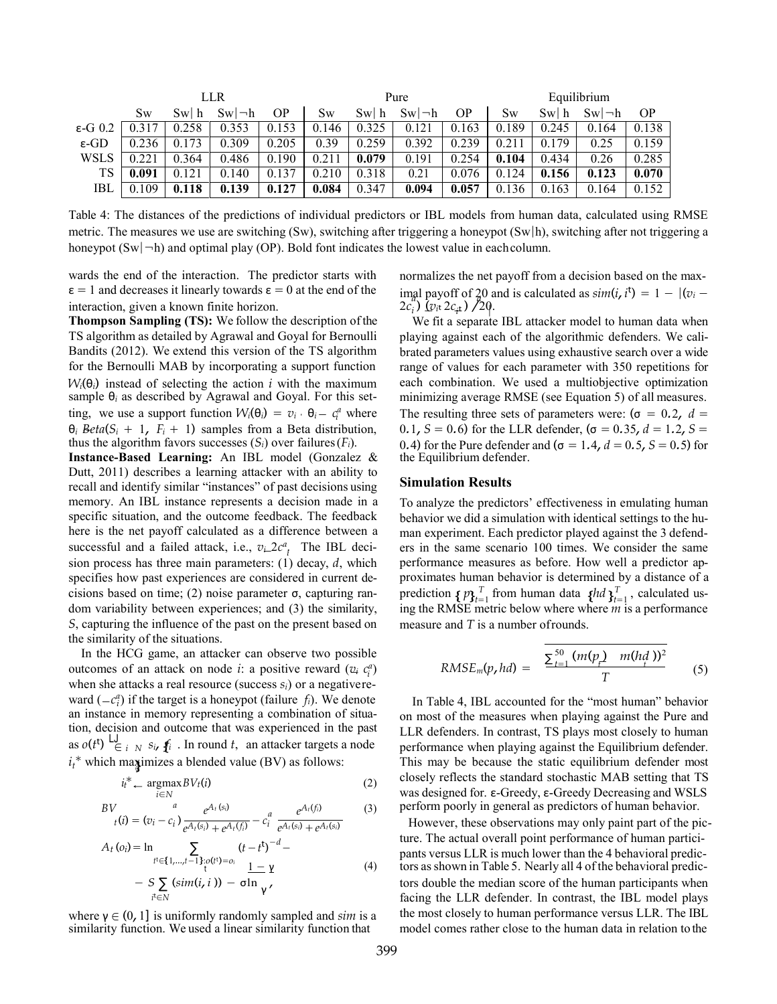|                   |       |       | <b>LLR</b>         |           | Pure      |       |                    |       | Equilibrium |       |                    |           |
|-------------------|-------|-------|--------------------|-----------|-----------|-------|--------------------|-------|-------------|-------|--------------------|-----------|
|                   | Sw    | Swl h | $Sw \rightarrow h$ | <b>OP</b> | Sw        | Swl h | $Sw \rightarrow h$ | ΟP    | Sw          | Swl h | $Sw \rightarrow h$ | <b>OP</b> |
| $\epsilon$ -G 0.2 |       | 0.258 | 0.353              | 153       | 146<br>0. | 0.325 | 0.121              | 0.163 | 0.189       | 0.245 | 0.164              | 0.138     |
| $\epsilon$ -GD    | 0.236 | 0.173 | 0.309              | 0.205     | 0.39      | 0.259 | 0.392              | 0.239 | 0.21        | 0.179 | 0.25               | 0.159     |
| WSLS              | 0.221 | 0.364 | 0.486              | 0.190     | 0.211     | 0.079 | 0.191              | 0.254 | 0.104       | 0.434 | 0.26               | 0.285     |
| TS                | 0.091 | 0.121 | 0.140              | .137      | 0.210     | 0.318 | 0.21               | 0.076 | 0.124       | 0.156 | 0.123              | 0.070     |
| IBL               | 0.109 | 0.118 | 0.139              | 0.127     | 0.084     | 0.347 | 0.094              | 0.057 | 0.136       | 0.163 | 0.164              | 0.152     |

Table 4: The distances of the predictions of individual predictors or IBL models from human data, calculated using RMSE metric. The measures we use are switching (Sw), switching after triggering a honeypot (Sw|h), switching after not triggering a honeypot  $(Sw|\neg h)$  and optimal play (OP). Bold font indicates the lowest value in each column.

wards the end of the interaction. The predictor starts with  $\epsilon = 1$  and decreases it linearly towards  $\epsilon = 0$  at the end of the interaction, given a known finite horizon.

*i*<sub>i</sub> = *v<sub>i</sub>*  $\theta_i - c_i^a$  where  $\theta_i$  *Beta*( $S_i + 1$ ,  $F_i + 1$ ) samples from a Beta distribution, **Thompson Sampling (TS):** We follow the description ofthe TS algorithm as detailed by Agrawal and Goyal for Bernoulli Bandits (2012). We extend this version of the TS algorithm for the Bernoulli MAB by incorporating a support function  $W_i(\theta_i)$  instead of selecting the action *i* with the maximum sample θ*<sup>i</sup>* as described by Agrawal and Goyal. For this setthus the algorithm favors successes  $(S_i)$  over failures  $(F_i)$ .

successful and a failed attack, i.e.,  $v \sim 2c^a$  The IBL deci-**Instance-Based Learning:** An IBL model (Gonzalez & Dutt, 2011) describes a learning attacker with an ability to recall and identify similar "instances" of past decisions using memory. An IBL instance represents a decision made in a specific situation, and the outcome feedback. The feedback here is the net payoff calculated as a difference between a sion process has three main parameters: (1) decay, *d*, which specifies how past experiences are considered in current decisions based on time; (2) noise parameter σ, capturing random variability between experiences; and (3) the similarity, *S*, capturing the influence of the past on the present based on the similarity of the situations.

outcomes of an attack on node *i*: a positive reward ( $v_i$   $c_i^a$ ) as  $o(t^t) \stackrel{\text{LJ}}{\in} i \stackrel{\text{S}}{\sim} S_i$ ,  $f_i$ . In round *t*, an attacker targets a node  $i_t^*$  which maximizes a blended value (BV) as follows: ward ( $-c_i^a$ ) if the target is a honeypot (failure *f<sub>i</sub>*). We denote In the HCG game, an attacker can observe two possible when she attacks a real resource (success *si*) or a negativerean instance in memory representing a combination of situation, decision and outcome that was experienced in the past

$$
i_t^* \leftarrow \underset{i \in \mathbb{N}}{\operatorname{argmax}} BV_t(i) \tag{2}
$$

$$
BVt(i) = (vi - ci) \frac{e^{At(si)}}{e^{At(si)} + e^{At(fi)}} - cia \frac{e^{At(fi)}}{e^{At(si)} + e^{At(si)}} \tag{3}
$$

$$
A_{t}(o_{i}) = \ln \sum_{\substack{t^{i} \in \{1, \ldots, t-1\} : o(t^{i}) = o_{i} \\ \vdots \\ t^{i} \in N}} \frac{(t - t^{t})^{-d} - (t^{i})^{2}}{1 - \gamma} = \sum_{\substack{t^{i} \in N}} \frac{(s^{i} - t^{i})^{-d} - (t^{i})^{2}}{1 - \gamma} = \sum_{\substack{t^{i} \in N}} \frac{(s^{i} - t^{i})^{-d} - (t^{i})^{2}}{1 - \gamma} = \sum_{\substack{t^{i} \in N}} \frac{(s^{i} - t^{i})^{-d} - (t^{i})^{2}}{1 - \gamma} = \sum_{\substack{t^{i} \in N}} \frac{(s^{i} - t^{i})^{-d} - (t^{i})^{2}}{1 - \gamma} = \sum_{\substack{t^{i} \in N}} \frac{(s^{i} - t^{i})^{-d} - (t^{i})^{2}}{1 - \gamma} = \sum_{\substack{t^{i} \in N}} \frac{(s^{i} - t^{i})^{-d} - (t^{i})^{2}}{1 - \gamma} = \sum_{\substack{t^{i} \in N}} \frac{(s^{i} - t^{i})^{-d} - (t^{i})^{2}}{1 - \gamma} = \sum_{\substack{t^{i} \in N}} \frac{(s^{i} - t^{i})^{-d} - (t^{i})^{2}}{1 - \gamma} = \sum_{\substack{t^{i} \in N}} \frac{(s^{i} - t^{i})^{-d} - (t^{i})^{2}}{1 - \gamma} = \sum_{\substack{t^{i} \in N}} \frac{(s^{i} - t^{i})^{-d} - (t^{i})^{2}}{1 - \gamma} = \sum_{\substack{t^{i} \in N}} \frac{(s^{i} - t^{i})^{-d} - (t^{i})^{2}}{1 - \gamma} = \sum_{\substack{t^{i} \in N}} \frac{(s^{i} - t^{i})^{-d} - (t^{i})^{2}}{1 - \gamma} = \sum_{\substack{t^{i} \in N}} \frac{(s^{i} - t^{i})^{-d} - (t^{i})^{2}}{1 - \gamma} = \sum_{\substack{t^{i} \in N}} \frac{(s^{i} - t^{i})^{-d} - (t^{i})^{2}}{1 - \gamma} = \sum_{\substack{t^{i} \in N}} \frac{(s^{i} - t^{i
$$

where  $\gamma \in (0, 1]$  is uniformly randomly sampled and *sim* is a similarity function. We used a linear similarity function that

− − | 2*ci* ) (*vi*t 2*ci*t ) */*20. normalizes the net payoff from a decision based on the max- $\lim_{\alpha \to 0} \frac{1}{\alpha} \text{ payoff of } 20 \text{ and is calculated as } \sin(i, i^t) = 1 - |(v_i - i^t)|$ 

We fit a separate IBL attacker model to human data when playing against each of the algorithmic defenders. We calibrated parameters values using exhaustive search over a wide range of values for each parameter with 350 repetitions for each combination. We used a multiobjective optimization minimizing average RMSE (see Equation 5) of all measures. The resulting three sets of parameters were:  $(\sigma = 0.2, d =$ 0*.*1*, S* = 0*.*6) for the LLR defender, (σ = 0*.*35*, d* = 1*.2, S* = 0*.*4) for the Pure defender and (σ = 1*.4, d* = 0*.5, S* = 0*.5*) for the Equilibrium defender.

#### **Simulation Results**

prediction  $\{p\}_{t=1}^T$  from human data  $\{hd\}_{t=1}^T$ , calculated us-To analyze the predictors' effectiveness in emulating human behavior we did a simulation with identical settings to the human experiment. Each predictor played against the 3 defenders in the same scenario 100 times. We consider the same performance measures as before. How well a predictor approximates human behavior is determined by a distance of a ing the RMSE metric below where where *m* is a performance measure and *T* is a number ofrounds.

RMSE<sub>m</sub>(p, hd) = 
$$
\frac{\sum_{t=1}^{50} (m(p_t) - m(h_d))^{2}}{T}
$$
 (5)

In Table 4, IBL accounted for the "most human" behavior on most of the measures when playing against the Pure and LLR defenders. In contrast, TS plays most closely to human performance when playing against the Equilibrium defender. This may be because the static equilibrium defender most closely reflects the standard stochastic MAB setting that TS was designed for. ε-Greedy, ε-Greedy Decreasing and WSLS *Buehavior a eAt eAt a eAt*<sub>*a*</sub> *eAt a e*<sub>*a*</sub> *eAt e*<sub>*a*</sub> *eAt e*<sub>*a*</sub> *eAt e*<sub>*a*</sub> *e*<sub>*a*</sub> *e*<sub>*a*</sub> *e*<sub>*a*</sub> *e*<sub>*a*</sub> *e*<sub>*a*</sub> *e*<sub>*a*</sub> *e*<sub>*a*</sub> *e*<sub>*a*</sub> *e*<sub>*a*</sub> *e*<sub>*a*</sub> *e*<sub>*a*</sub>

*However, these observations may only paint part of the pic*ture. The actual overall point performance of human participants versus LLR is much lower than the 4 behavioral predictors asshown in Table 5. Nearly all 4 of the behavioral predic tors double the median score of the human participants when facing the LLR defender. In contrast, the IBL model plays the most closely to human performance versus LLR. The IBL model comes rather close to the human data in relation to the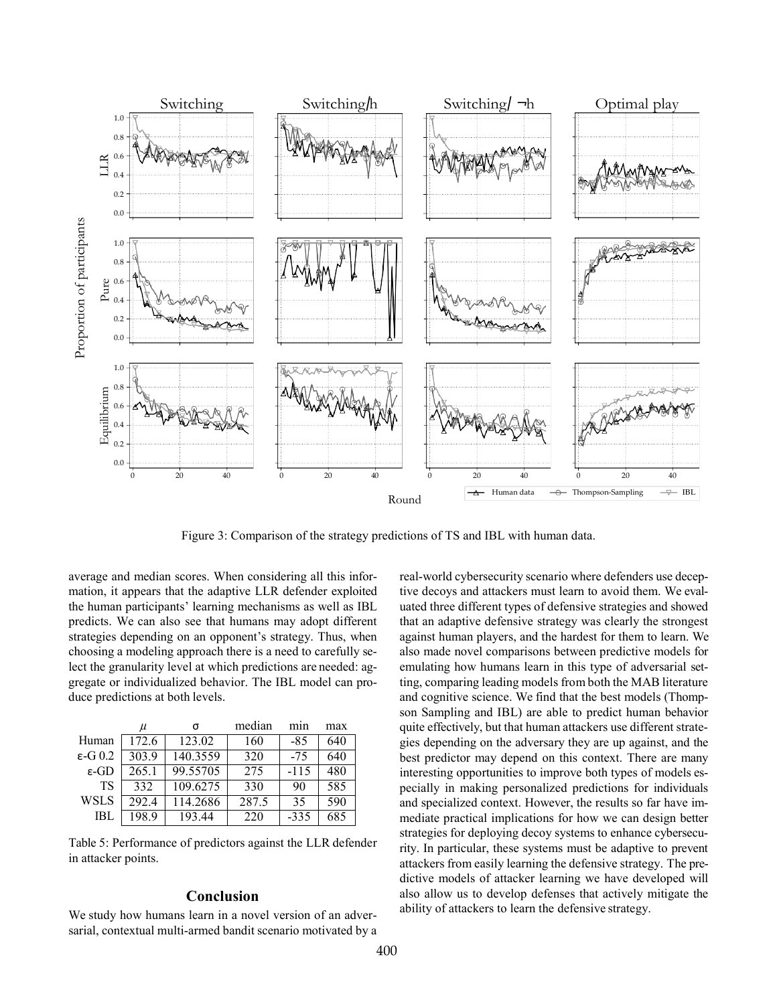

Figure 3: Comparison of the strategy predictions of TS and IBL with human data.

average and median scores. When considering all this information, it appears that the adaptive LLR defender exploited the human participants' learning mechanisms as well as IBL predicts. We can also see that humans may adopt different strategies depending on an opponent's strategy. Thus, when choosing a modeling approach there is a need to carefully select the granularity level at which predictions are needed: aggregate or individualized behavior. The IBL model can produce predictions at both levels.

|                   | $\mu$ | σ        | median | mnn    | max |
|-------------------|-------|----------|--------|--------|-----|
| Human             | 172.6 | 123.02   | 160    | -85    | 640 |
| $\epsilon$ -G 0.2 | 303.9 | 140.3559 | 320    | $-75$  | 640 |
| ε-GD              | 265.1 | 99.55705 | 275    | $-115$ | 480 |
| TS                | 332   | 109.6275 | 330    | 90     | 585 |
| WSLS              | 292.4 | 114.2686 | 287.5  | 35     | 590 |
| IBL               | 198.9 | 193.44   | 220    | $-335$ | 685 |

Table 5: Performance of predictors against the LLR defender in attacker points.

#### **Conclusion**

We study how humans learn in a novel version of an adversarial, contextual multi-armed bandit scenario motivated by a real-world cybersecurity scenario where defenders use deceptive decoys and attackers must learn to avoid them. We evaluated three different types of defensive strategies and showed that an adaptive defensive strategy was clearly the strongest against human players, and the hardest for them to learn. We also made novel comparisons between predictive models for emulating how humans learn in this type of adversarial setting, comparing leading models from both the MAB literature and cognitive science. We find that the best models (Thompson Sampling and IBL) are able to predict human behavior quite effectively, but that human attackers use different strategies depending on the adversary they are up against, and the best predictor may depend on this context. There are many interesting opportunities to improve both types of models especially in making personalized predictions for individuals and specialized context. However, the results so far have immediate practical implications for how we can design better strategies for deploying decoy systems to enhance cybersecurity. In particular, these systems must be adaptive to prevent attackers from easily learning the defensive strategy. The predictive models of attacker learning we have developed will also allow us to develop defenses that actively mitigate the ability of attackers to learn the defensive strategy.